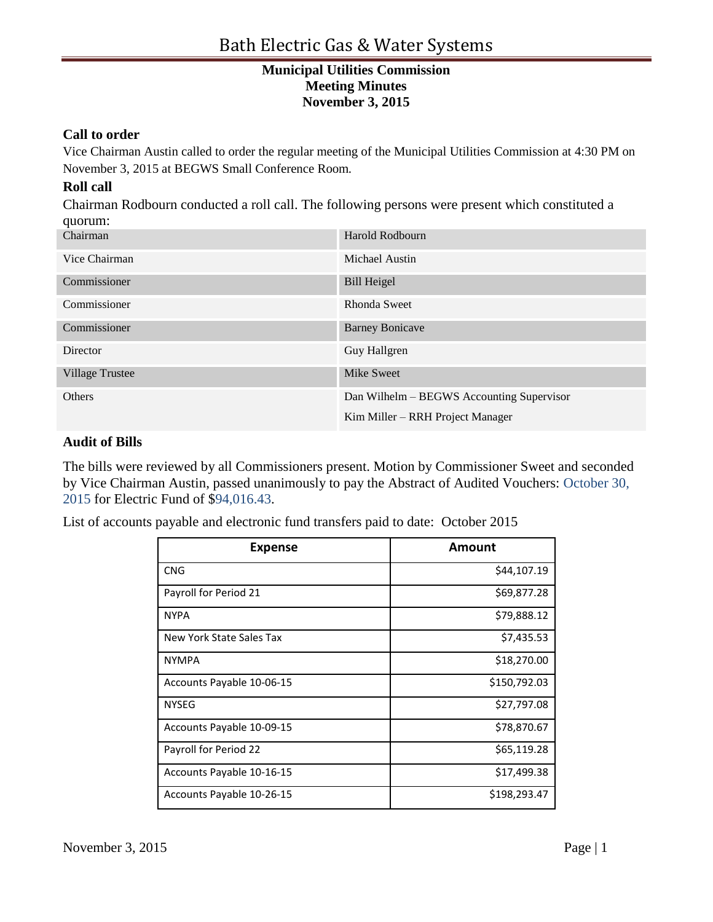#### **Call to order**

Vice Chairman Austin called to order the regular meeting of the Municipal Utilities Commission at 4:30 PM on November 3, 2015 at BEGWS Small Conference Room.

#### **Roll call**

Chairman Rodbourn conducted a roll call. The following persons were present which constituted a quorum:

| -1 - - - - - - - - - - |                                           |
|------------------------|-------------------------------------------|
| Chairman               | Harold Rodbourn                           |
| Vice Chairman          | Michael Austin                            |
| Commissioner           | <b>Bill Heigel</b>                        |
| Commissioner           | Rhonda Sweet                              |
| Commissioner           | <b>Barney Bonicave</b>                    |
| Director               | Guy Hallgren                              |
| <b>Village Trustee</b> | <b>Mike Sweet</b>                         |
| Others                 | Dan Wilhelm – BEGWS Accounting Supervisor |
|                        | Kim Miller – RRH Project Manager          |

#### **Audit of Bills**

The bills were reviewed by all Commissioners present. Motion by Commissioner Sweet and seconded by Vice Chairman Austin, passed unanimously to pay the Abstract of Audited Vouchers: October 30, 2015 for Electric Fund of \$94,016.43.

List of accounts payable and electronic fund transfers paid to date: October 2015

| <b>Expense</b>            | Amount       |
|---------------------------|--------------|
| <b>CNG</b>                | \$44,107.19  |
| Payroll for Period 21     | \$69,877.28  |
| <b>NYPA</b>               | \$79,888.12  |
| New York State Sales Tax  | \$7,435.53   |
| <b>NYMPA</b>              | \$18,270.00  |
| Accounts Payable 10-06-15 | \$150,792.03 |
| <b>NYSEG</b>              | \$27,797.08  |
| Accounts Payable 10-09-15 | \$78,870.67  |
| Payroll for Period 22     | \$65,119.28  |
| Accounts Payable 10-16-15 | \$17,499.38  |
| Accounts Payable 10-26-15 | \$198,293.47 |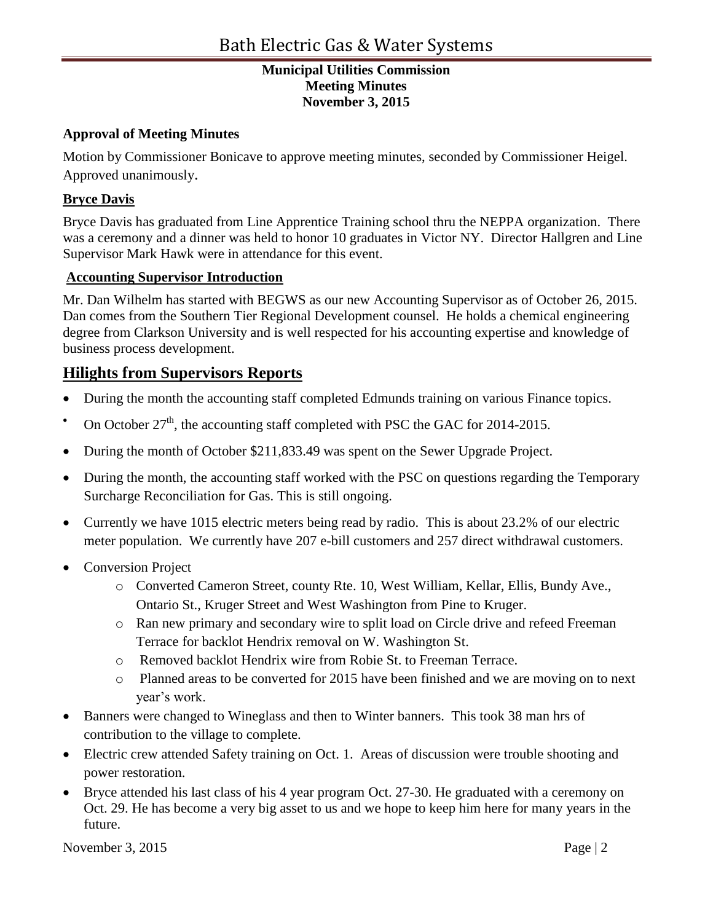### **Approval of Meeting Minutes**

Motion by Commissioner Bonicave to approve meeting minutes, seconded by Commissioner Heigel. Approved unanimously.

## **Bryce Davis**

Bryce Davis has graduated from Line Apprentice Training school thru the NEPPA organization. There was a ceremony and a dinner was held to honor 10 graduates in Victor NY. Director Hallgren and Line Supervisor Mark Hawk were in attendance for this event.

### **Accounting Supervisor Introduction**

Mr. Dan Wilhelm has started with BEGWS as our new Accounting Supervisor as of October 26, 2015. Dan comes from the Southern Tier Regional Development counsel. He holds a chemical engineering degree from Clarkson University and is well respected for his accounting expertise and knowledge of business process development.

# **Hilights from Supervisors Reports**

- During the month the accounting staff completed Edmunds training on various Finance topics.
- On October 27<sup>th</sup>, the accounting staff completed with PSC the GAC for 2014-2015.
- During the month of October \$211,833.49 was spent on the Sewer Upgrade Project.
- During the month, the accounting staff worked with the PSC on questions regarding the Temporary Surcharge Reconciliation for Gas. This is still ongoing.
- Currently we have 1015 electric meters being read by radio. This is about 23.2% of our electric meter population. We currently have 207 e-bill customers and 257 direct withdrawal customers.
- Conversion Project
	- o Converted Cameron Street, county Rte. 10, West William, Kellar, Ellis, Bundy Ave., Ontario St., Kruger Street and West Washington from Pine to Kruger.
	- o Ran new primary and secondary wire to split load on Circle drive and refeed Freeman Terrace for backlot Hendrix removal on W. Washington St.
	- o Removed backlot Hendrix wire from Robie St. to Freeman Terrace.
	- o Planned areas to be converted for 2015 have been finished and we are moving on to next year's work.
- Banners were changed to Wineglass and then to Winter banners. This took 38 man hrs of contribution to the village to complete.
- Electric crew attended Safety training on Oct. 1. Areas of discussion were trouble shooting and power restoration.
- Bryce attended his last class of his 4 year program Oct. 27-30. He graduated with a ceremony on Oct. 29. He has become a very big asset to us and we hope to keep him here for many years in the future.

November 3, 2015  $\qquad \qquad$  Page | 2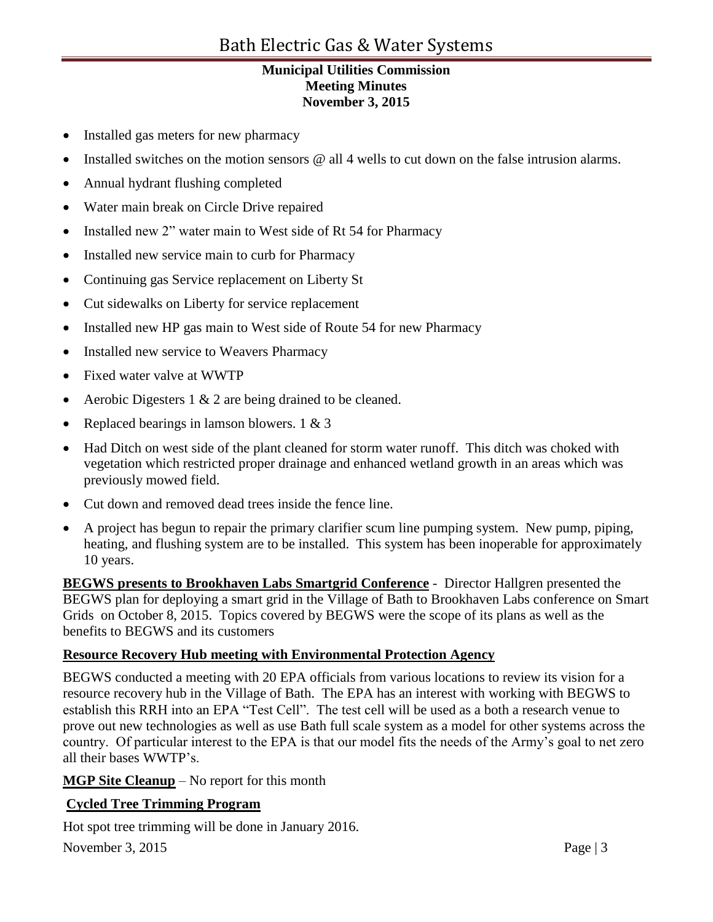- Installed gas meters for new pharmacy
- Installed switches on the motion sensors @ all 4 wells to cut down on the false intrusion alarms.
- Annual hydrant flushing completed
- Water main break on Circle Drive repaired
- Installed new 2" water main to West side of Rt 54 for Pharmacy
- Installed new service main to curb for Pharmacy
- Continuing gas Service replacement on Liberty St
- Cut sidewalks on Liberty for service replacement
- Installed new HP gas main to West side of Route 54 for new Pharmacy
- Installed new service to Weavers Pharmacy
- Fixed water valve at WWTP
- Aerobic Digesters  $1 \& 2$  are being drained to be cleaned.
- Replaced bearings in lamson blowers.  $1 \& 3$
- Had Ditch on west side of the plant cleaned for storm water runoff. This ditch was choked with vegetation which restricted proper drainage and enhanced wetland growth in an areas which was previously mowed field.
- Cut down and removed dead trees inside the fence line.
- A project has begun to repair the primary clarifier scum line pumping system. New pump, piping, heating, and flushing system are to be installed. This system has been inoperable for approximately 10 years.

**BEGWS presents to Brookhaven Labs Smartgrid Conference** - Director Hallgren presented the BEGWS plan for deploying a smart grid in the Village of Bath to Brookhaven Labs conference on Smart Grids on October 8, 2015. Topics covered by BEGWS were the scope of its plans as well as the benefits to BEGWS and its customers

### **Resource Recovery Hub meeting with Environmental Protection Agency**

BEGWS conducted a meeting with 20 EPA officials from various locations to review its vision for a resource recovery hub in the Village of Bath. The EPA has an interest with working with BEGWS to establish this RRH into an EPA "Test Cell". The test cell will be used as a both a research venue to prove out new technologies as well as use Bath full scale system as a model for other systems across the country. Of particular interest to the EPA is that our model fits the needs of the Army's goal to net zero all their bases WWTP's.

### **MGP Site Cleanup** – No report for this month

# **Cycled Tree Trimming Program**

Hot spot tree trimming will be done in January 2016.

November 3, 2015 Page | 3